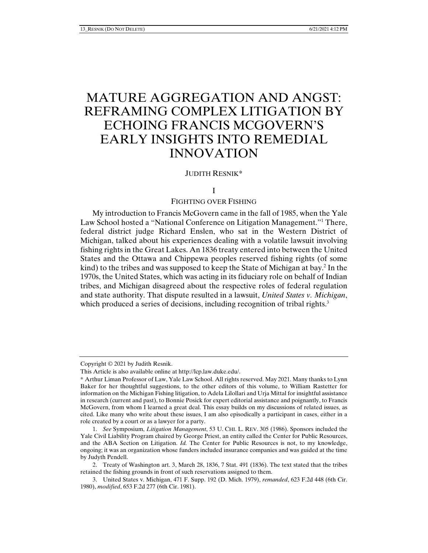# MATURE AGGREGATION AND ANGST: REFRAMING COMPLEX LITIGATION BY ECHOING FRANCIS MCGOVERN'S EARLY INSIGHTS INTO REMEDIAL INNOVATION

#### JUDITH RESNIK\*

#### I

#### FIGHTING OVER FISHING

My introduction to Francis McGovern came in the fall of 1985, when the Yale Law School hosted a "National Conference on Litigation Management."1 There, federal district judge Richard Enslen, who sat in the Western District of Michigan, talked about his experiences dealing with a volatile lawsuit involving fishing rights in the Great Lakes. An 1836 treaty entered into between the United States and the Ottawa and Chippewa peoples reserved fishing rights (of some kind) to the tribes and was supposed to keep the State of Michigan at bay.2 In the 1970s, the United States, which was acting in its fiduciary role on behalf of Indian tribes, and Michigan disagreed about the respective roles of federal regulation and state authority. That dispute resulted in a lawsuit, *United States v. Michigan*, which produced a series of decisions, including recognition of tribal rights.<sup>3</sup>

Copyright © 2021 by Judith Resnik.

This Article is also available online at http://lcp.law.duke.edu/.

<sup>\*</sup> Arthur Liman Professor of Law, Yale Law School. All rights reserved. May 2021. Many thanks to Lynn Baker for her thoughtful suggestions, to the other editors of this volume, to William Rastetter for information on the Michigan Fishing litigation, to Adela Lilollari and Urja Mittal for insightful assistance in research (current and past), to Bonnie Posick for expert editorial assistance and poignantly, to Francis McGovern, from whom I learned a great deal. This essay builds on my discussions of related issues, as cited. Like many who write about these issues, I am also episodically a participant in cases, either in a role created by a court or as a lawyer for a party.

 <sup>1.</sup> *See* Symposium, *Litigation Management*, 53 U. CHI. L. REV. 305 (1986). Sponsors included the Yale Civil Liability Program chaired by George Priest, an entity called the Center for Public Resources, and the ABA Section on Litigation. *Id.* The Center for Public Resources is not, to my knowledge, ongoing; it was an organization whose funders included insurance companies and was guided at the time by Judyth Pendell.

 <sup>2.</sup> Treaty of Washington art. 3, March 28, 1836, 7 Stat. 491 (1836). The text stated that the tribes retained the fishing grounds in front of such reservations assigned to them.

 <sup>3.</sup> United States v. Michigan, 471 F. Supp. 192 (D. Mich. 1979), *remanded*, 623 F.2d 448 (6th Cir. 1980), *modified*, 653 F.2d 277 (6th Cir. 1981).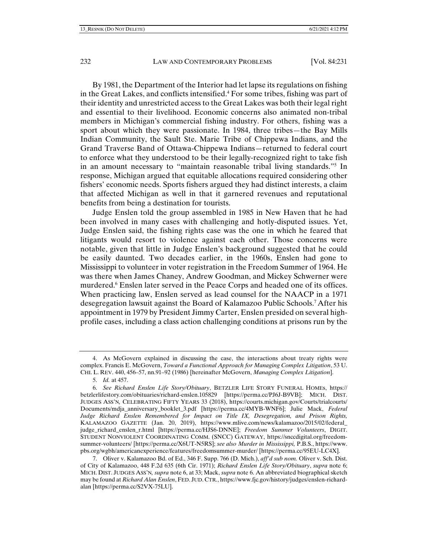By 1981, the Department of the Interior had let lapse its regulations on fishing in the Great Lakes, and conflicts intensified.<sup>4</sup> For some tribes, fishing was part of their identity and unrestricted access to the Great Lakes was both their legal right and essential to their livelihood. Economic concerns also animated non-tribal members in Michigan's commercial fishing industry. For others, fishing was a sport about which they were passionate. In 1984, three tribes—the Bay Mills Indian Community, the Sault Ste. Marie Tribe of Chippewa Indians, and the Grand Traverse Band of Ottawa-Chippewa Indians—returned to federal court to enforce what they understood to be their legally-recognized right to take fish in an amount necessary to "maintain reasonable tribal living standards."5 In response, Michigan argued that equitable allocations required considering other fishers' economic needs. Sports fishers argued they had distinct interests, a claim that affected Michigan as well in that it garnered revenues and reputational benefits from being a destination for tourists.

Judge Enslen told the group assembled in 1985 in New Haven that he had been involved in many cases with challenging and hotly-disputed issues. Yet, Judge Enslen said, the fishing rights case was the one in which he feared that litigants would resort to violence against each other. Those concerns were notable, given that little in Judge Enslen's background suggested that he could be easily daunted. Two decades earlier, in the 1960s, Enslen had gone to Mississippi to volunteer in voter registration in the Freedom Summer of 1964. He was there when James Chaney, Andrew Goodman, and Mickey Schwerner were murdered.<sup>6</sup> Enslen later served in the Peace Corps and headed one of its offices. When practicing law, Enslen served as lead counsel for the NAACP in a 1971 desegregation lawsuit against the Board of Kalamazoo Public Schools.7 After his appointment in 1979 by President Jimmy Carter, Enslen presided on several highprofile cases, including a class action challenging conditions at prisons run by the

 <sup>4.</sup> As McGovern explained in discussing the case, the interactions about treaty rights were complex. Francis E. McGovern, *Toward a Functional Approach for Managing Complex Litigation*, 53 U. CHI. L. REV. 440, 456–57, nn.91–92 (1986) [hereinafter McGovern, *Managing Complex Litigation*].

 <sup>5.</sup> *Id.* at 457.

 <sup>6.</sup> *See Richard Enslen Life Story/Obituary*, BETZLER LIFE STORY FUNERAL HOMEs, https:// betzlerlifestory.com/obituaries/richard-enslen.105829 [https://perma.cc/PJ6J-B9VB]; MICH. DIST. JUDGES ASS'N*,* CELEBRATING FIFTY YEARS 33 (2018), https://courts.michigan.gov/Courts/trialcourts/ Documents/mdja\_anniversary\_booklet\_3.pdf [https://perma.cc/4MYB-WNF6]; Julie Mack, *Federal Judge Richard Enslen Remembered for Impact on Title IX, Desegregation, and Prison Rights,*  KALAMAZOO GAZETTE (Jan. 20, 2019), https://www.mlive.com/news/kalamazoo/2015/02/federal\_ judge\_richard\_enslen\_r.html [https://perma.cc/HJS6-DNNE]; *Freedom Summer Volunteers*, DIGIT. STUDENT NONVIOLENT COORDINATING COMM. (SNCC) GATEWAY, https://snccdigital.org/freedomsummer-volunteers/ [https://perma.cc/X6UT-N5RS]; *see also Murder in Mississippi,* P.B.S., https://www. pbs.org/wgbh/americanexperience/features/freedomsummer-murder/ [https://perma.cc/95EU-LC4X].

 <sup>7.</sup> Oliver v. Kalamazoo Bd. of Ed., 346 F. Supp. 766 (D. Mich.), *aff'd sub nom.* Oliver v. Sch. Dist. of City of Kalamazoo, 448 F.2d 635 (6th Cir. 1971); *Richard Enslen Life Story/Obituary*, *supra* note 6; MICH. DIST. JUDGES ASS'N*, supra* note 6, at 33; Mack, *supra* note 6. An abbreviated biographical sketch may be found at *Richard Alan Enslen*, FED. JUD. CTR., https://www.fjc.gov/history/judges/enslen-richardalan [https://perma.cc/S2VX-75LU].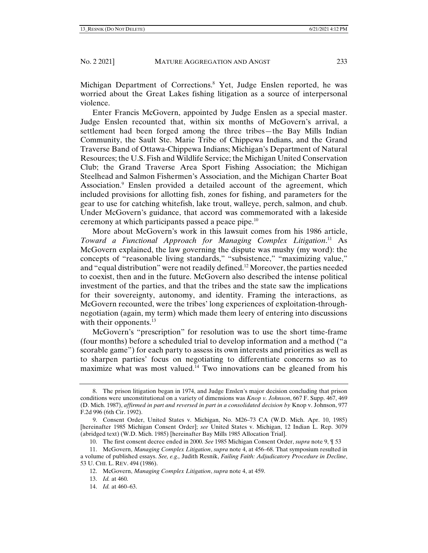Michigan Department of Corrections.<sup>8</sup> Yet, Judge Enslen reported, he was worried about the Great Lakes fishing litigation as a source of interpersonal violence.

Enter Francis McGovern, appointed by Judge Enslen as a special master. Judge Enslen recounted that, within six months of McGovern's arrival, a settlement had been forged among the three tribes—the Bay Mills Indian Community, the Sault Ste. Marie Tribe of Chippewa Indians, and the Grand Traverse Band of Ottawa-Chippewa Indians; Michigan's Department of Natural Resources; the U.S. Fish and Wildlife Service; the Michigan United Conservation Club; the Grand Traverse Area Sport Fishing Association; the Michigan Steelhead and Salmon Fishermen's Association, and the Michigan Charter Boat Association.<sup>9</sup> Enslen provided a detailed account of the agreement, which included provisions for allotting fish, zones for fishing, and parameters for the gear to use for catching whitefish, lake trout, walleye, perch, salmon, and chub. Under McGovern's guidance, that accord was commemorated with a lakeside ceremony at which participants passed a peace pipe.10

More about McGovern's work in this lawsuit comes from his 1986 article, *Toward a Functional Approach for Managing Complex Litigation*. 11 As McGovern explained, the law governing the dispute was mushy (my word): the concepts of "reasonable living standards," "subsistence," "maximizing value," and "equal distribution" were not readily defined.12 Moreover, the parties needed to coexist, then and in the future. McGovern also described the intense political investment of the parties, and that the tribes and the state saw the implications for their sovereignty, autonomy, and identity. Framing the interactions, as McGovern recounted, were the tribes' long experiences of exploitation-throughnegotiation (again, my term) which made them leery of entering into discussions with their opponents. $13$ 

McGovern's "prescription" for resolution was to use the short time-frame (four months) before a scheduled trial to develop information and a method ("a scorable game") for each party to assess its own interests and priorities as well as to sharpen parties' focus on negotiating to differentiate concerns so as to maximize what was most valued.<sup>14</sup> Two innovations can be gleaned from his

 <sup>8.</sup> The prison litigation began in 1974, and Judge Enslen's major decision concluding that prison conditions were unconstitutional on a variety of dimensions was *Knop v. Johnson*, 667 F. Supp. 467, 469 (D. Mich. 1987), *affirmed in part and reversed in part in a consolidated decision by* Knop v. Johnson, 977 F.2d 996 (6th Cir. 1992).

 <sup>9.</sup> Consent Order, United States v. Michigan, No. M26–73 CA (W.D. Mich. Apr. 10, 1985) [hereinafter 1985 Michigan Consent Order]; *see* United States v. Michigan, 12 Indian L. Rep. 3079 (abridged text) (W.D. Mich. 1985) [hereinafter Bay Mills 1985 Allocation Trial].

 <sup>10.</sup> The first consent decree ended in 2000. *See* 1985 Michigan Consent Order, *supra* note 9, ¶ 53

 <sup>11.</sup> McGovern, *Managing Complex Litigation*, *supra* note 4, at 456–68. That symposium resulted in a volume of published essays. *See, e.g.,* Judith Resnik, *Failing Faith: Adjudicatory Procedure in Decline*, 53 U. CHI. L. REV. 494 (1986).

 <sup>12.</sup> McGovern, *Managing Complex Litigation*, *supra* note 4, at 459.

 <sup>13.</sup> *Id.* at 460.

 <sup>14.</sup> *Id.* at 460–63.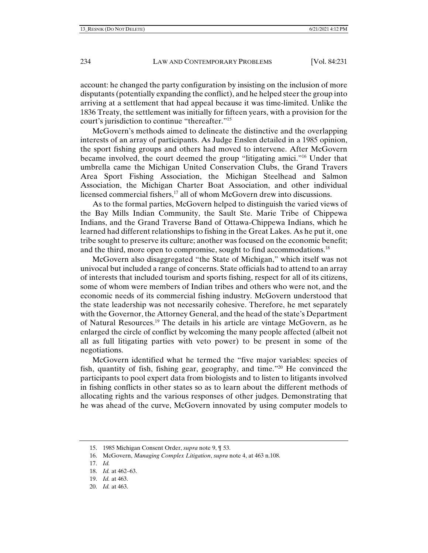account: he changed the party configuration by insisting on the inclusion of more disputants (potentially expanding the conflict), and he helped steer the group into arriving at a settlement that had appeal because it was time-limited. Unlike the 1836 Treaty, the settlement was initially for fifteen years, with a provision for the court's jurisdiction to continue "thereafter."15

McGovern's methods aimed to delineate the distinctive and the overlapping interests of an array of participants. As Judge Enslen detailed in a 1985 opinion, the sport fishing groups and others had moved to intervene. After McGovern became involved, the court deemed the group "litigating amici."16 Under that umbrella came the Michigan United Conservation Clubs, the Grand Travers Area Sport Fishing Association, the Michigan Steelhead and Salmon Association, the Michigan Charter Boat Association, and other individual licensed commercial fishers,17 all of whom McGovern drew into discussions.

As to the formal parties, McGovern helped to distinguish the varied views of the Bay Mills Indian Community, the Sault Ste. Marie Tribe of Chippewa Indians, and the Grand Traverse Band of Ottawa-Chippewa Indians, which he learned had different relationships to fishing in the Great Lakes. As he put it, one tribe sought to preserve its culture; another was focused on the economic benefit; and the third, more open to compromise, sought to find accommodations.<sup>18</sup>

McGovern also disaggregated "the State of Michigan," which itself was not univocal but included a range of concerns. State officials had to attend to an array of interests that included tourism and sports fishing, respect for all of its citizens, some of whom were members of Indian tribes and others who were not, and the economic needs of its commercial fishing industry. McGovern understood that the state leadership was not necessarily cohesive. Therefore, he met separately with the Governor, the Attorney General, and the head of the state's Department of Natural Resources.19 The details in his article are vintage McGovern, as he enlarged the circle of conflict by welcoming the many people affected (albeit not all as full litigating parties with veto power) to be present in some of the negotiations.

McGovern identified what he termed the "five major variables: species of fish, quantity of fish, fishing gear, geography, and time."20 He convinced the participants to pool expert data from biologists and to listen to litigants involved in fishing conflicts in other states so as to learn about the different methods of allocating rights and the various responses of other judges. Demonstrating that he was ahead of the curve, McGovern innovated by using computer models to

17. *Id.*

- 19. *Id.* at 463.
- 20. *Id.* at 463.

 <sup>15. 1985</sup> Michigan Consent Order, *supra* note 9, ¶ 53.

 <sup>16.</sup> McGovern, *Managing Complex Litigation*, *supra* note 4, at 463 n.108.

 <sup>18.</sup> *Id.* at 462–63.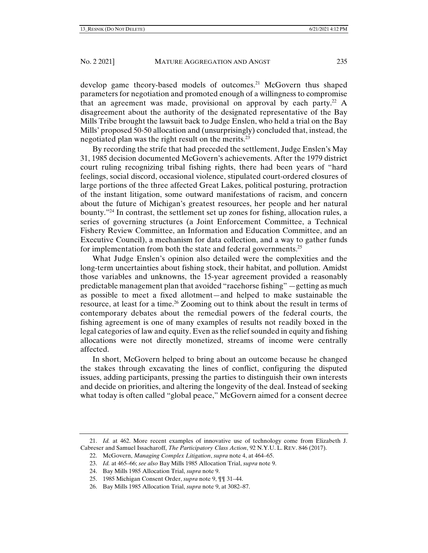develop game theory-based models of outcomes.<sup>21</sup> McGovern thus shaped parameters for negotiation and promoted enough of a willingness to compromise that an agreement was made, provisional on approval by each party.<sup>22</sup> A disagreement about the authority of the designated representative of the Bay Mills Tribe brought the lawsuit back to Judge Enslen, who held a trial on the Bay Mills' proposed 50-50 allocation and (unsurprisingly) concluded that, instead, the negotiated plan was the right result on the merits.<sup>23</sup>

By recording the strife that had preceded the settlement, Judge Enslen's May 31, 1985 decision documented McGovern's achievements. After the 1979 district court ruling recognizing tribal fishing rights, there had been years of "hard feelings, social discord, occasional violence, stipulated court-ordered closures of large portions of the three affected Great Lakes, political posturing, protraction of the instant litigation, some outward manifestations of racism, and concern about the future of Michigan's greatest resources, her people and her natural bounty."24 In contrast, the settlement set up zones for fishing, allocation rules, a series of governing structures (a Joint Enforcement Committee, a Technical Fishery Review Committee, an Information and Education Committee, and an Executive Council), a mechanism for data collection, and a way to gather funds for implementation from both the state and federal governments.<sup>25</sup>

What Judge Enslen's opinion also detailed were the complexities and the long-term uncertainties about fishing stock, their habitat, and pollution. Amidst those variables and unknowns, the 15-year agreement provided a reasonably predictable management plan that avoided "racehorse fishing"—getting as much as possible to meet a fixed allotment—and helped to make sustainable the resource, at least for a time.<sup>26</sup> Zooming out to think about the result in terms of contemporary debates about the remedial powers of the federal courts, the fishing agreement is one of many examples of results not readily boxed in the legal categories of law and equity. Even as the relief sounded in equity and fishing allocations were not directly monetized, streams of income were centrally affected.

In short, McGovern helped to bring about an outcome because he changed the stakes through excavating the lines of conflict, configuring the disputed issues, adding participants, pressing the parties to distinguish their own interests and decide on priorities, and altering the longevity of the deal. Instead of seeking what today is often called "global peace," McGovern aimed for a consent decree

 <sup>21.</sup> *Id.* at 462. More recent examples of innovative use of technology come from Elizabeth J. Cabreser and Samuel Issacharoff, *The Participatory Class Action*, 92 N.Y.U. L. REV. 846 (2017).

 <sup>22.</sup> McGovern, *Managing Complex Litigation*, *supra* note 4, at 464–65.

 <sup>23.</sup> *Id.* at 465–66; *see also* Bay Mills 1985 Allocation Trial, *supra* note 9.

 <sup>24.</sup> Bay Mills 1985 Allocation Trial, *supra* note 9.

 <sup>25. 1985</sup> Michigan Consent Order, *supra* note 9, ¶¶ 31–44.

 <sup>26.</sup> Bay Mills 1985 Allocation Trial, *supra* note 9, at 3082–87.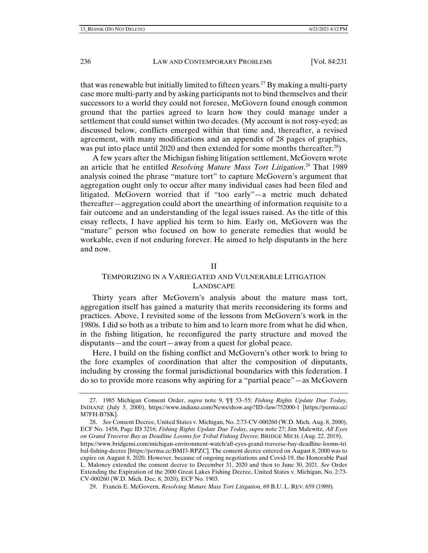that was renewable but initially limited to fifteen years.<sup>27</sup> By making a multi-party case more multi-party and by asking participants not to bind themselves and their successors to a world they could not foresee, McGovern found enough common ground that the parties agreed to learn how they could manage under a settlement that could sunset within two decades. (My account is not rosy-eyed; as discussed below, conflicts emerged within that time and, thereafter, a revised agreement, with many modifications and an appendix of 28 pages of graphics, was put into place until 2020 and then extended for some months thereafter.<sup>28</sup>)

A few years after the Michigan fishing litigation settlement, McGovern wrote an article that he entitled *Resolving Mature Mass Tort Litigation*. 29 That 1989 analysis coined the phrase "mature tort" to capture McGovern's argument that aggregation ought only to occur after many individual cases had been filed and litigated. McGovern worried that if "too early"—a metric much debated thereafter—aggregation could abort the unearthing of information requisite to a fair outcome and an understanding of the legal issues raised. As the title of this essay reflects, I have applied his term to him. Early on, McGovern was the "mature" person who focused on how to generate remedies that would be workable, even if not enduring forever. He aimed to help disputants in the here and now.

## II

# TEMPORIZING IN A VARIEGATED AND VULNERABLE LITIGATION LANDSCAPE

Thirty years after McGovern's analysis about the mature mass tort, aggregation itself has gained a maturity that merits reconsidering its forms and practices. Above, I revisited some of the lessons from McGovern's work in the 1980s. I did so both as a tribute to him and to learn more from what he did when, in the fishing litigation, he reconfigured the party structure and moved the disputants—and the court—away from a quest for global peace.

Here, I build on the fishing conflict and McGovern's other work to bring to the fore examples of coordination that alter the composition of disputants, including by crossing the formal jurisdictional boundaries with this federation. I do so to provide more reasons why aspiring for a "partial peace"—as McGovern

 <sup>27. 1985</sup> Michigan Consent Order, *supra* note 9, ¶¶ 53–55; *Fishing Rights Update Due Today,*  INDIANZ (July 5, 2000), https://www.indianz.com/News/show.asp?ID=law/752000-1 [https://perma.cc/ M7FH-B7SK].

 <sup>28.</sup> *See* Consent Decree, United States v. Michigan, No. 2:73-CV-000260 (W.D. Mich. Aug. 8, 2000), ECF No. 1458, Page ID 3216; *Fishing Rights Update Due Today*, *supra* note 27; Jim Malewitz, *All Eyes on Grand Traverse Bay as Deadline Looms for Tribal Fishing Decree,* BRIDGE MICH. (Aug. 22, 2019), https://www.bridgemi.com/michigan-environment-watch/all-eyes-grand-traverse-bay-deadline-looms-tri bal-fishing-decree [https://perma.cc/BMJ3-RPZC]. The consent decree entered on August 8, 2000 was to expire on August 8, 2020. However, because of ongoing negotiations and Covid-19, the Honorable Paul L. Maloney extended the consent decree to December 31, 2020 and then to June 30, 2021. *See* Order Extending the Expiration of the 2000 Great Lakes Fishing Decree, United States v. Michigan, No. 2:73- CV-000260 (W.D. Mich. Dec. 8, 2020), ECF No. 1903.

 <sup>29.</sup> Francis E. McGovern, *Resolving Mature Mass Tort Litigation,* 69 B.U. L. REV. 659 (1989).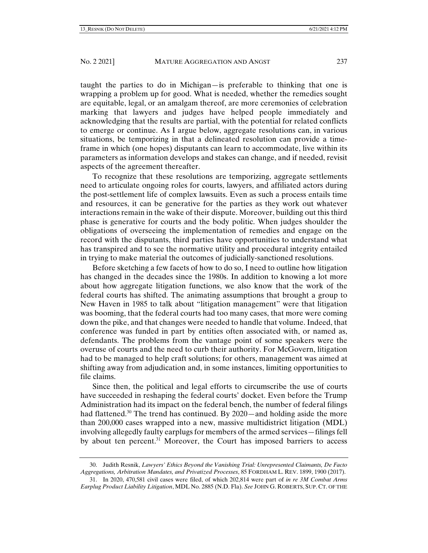taught the parties to do in Michigan—is preferable to thinking that one is wrapping a problem up for good. What is needed, whether the remedies sought are equitable, legal, or an amalgam thereof, are more ceremonies of celebration marking that lawyers and judges have helped people immediately and acknowledging that the results are partial, with the potential for related conflicts to emerge or continue. As I argue below, aggregate resolutions can, in various situations, be temporizing in that a delineated resolution can provide a timeframe in which (one hopes) disputants can learn to accommodate, live within its parameters as information develops and stakes can change, and if needed, revisit aspects of the agreement thereafter.

To recognize that these resolutions are temporizing, aggregate settlements need to articulate ongoing roles for courts, lawyers, and affiliated actors during the post-settlement life of complex lawsuits. Even as such a process entails time and resources, it can be generative for the parties as they work out whatever interactions remain in the wake of their dispute. Moreover, building out this third phase is generative for courts and the body politic. When judges shoulder the obligations of overseeing the implementation of remedies and engage on the record with the disputants, third parties have opportunities to understand what has transpired and to see the normative utility and procedural integrity entailed in trying to make material the outcomes of judicially-sanctioned resolutions.

Before sketching a few facets of how to do so, I need to outline how litigation has changed in the decades since the 1980s. In addition to knowing a lot more about how aggregate litigation functions, we also know that the work of the federal courts has shifted. The animating assumptions that brought a group to New Haven in 1985 to talk about "litigation management" were that litigation was booming, that the federal courts had too many cases, that more were coming down the pike, and that changes were needed to handle that volume. Indeed, that conference was funded in part by entities often associated with, or named as, defendants. The problems from the vantage point of some speakers were the overuse of courts and the need to curb their authority. For McGovern, litigation had to be managed to help craft solutions; for others, management was aimed at shifting away from adjudication and, in some instances, limiting opportunities to file claims.

Since then, the political and legal efforts to circumscribe the use of courts have succeeded in reshaping the federal courts' docket. Even before the Trump Administration had its impact on the federal bench, the number of federal filings had flattened.<sup>30</sup> The trend has continued. By  $2020$ —and holding aside the more than 200,000 cases wrapped into a new, massive multidistrict litigation (MDL) involving allegedly faulty earplugs for members of the armed services—filings fell by about ten percent.<sup>31</sup> Moreover, the Court has imposed barriers to access

 <sup>30.</sup> Judith Resnik, *Lawyers' Ethics Beyond the Vanishing Trial: Unrepresented Claimants, De Facto Aggregations, Arbitration Mandates, and Privatized Processes*, 85 FORDHAM L. REV. 1899, 1900 (2017).

 <sup>31.</sup> In 2020, 470,581 civil cases were filed, of which 202,814 were part of *in re 3M Combat Arms Earplug Product Liability Litigation*, MDL No. 2885 (N.D. Fla). *See* JOHN G. ROBERTS, SUP. CT. OF THE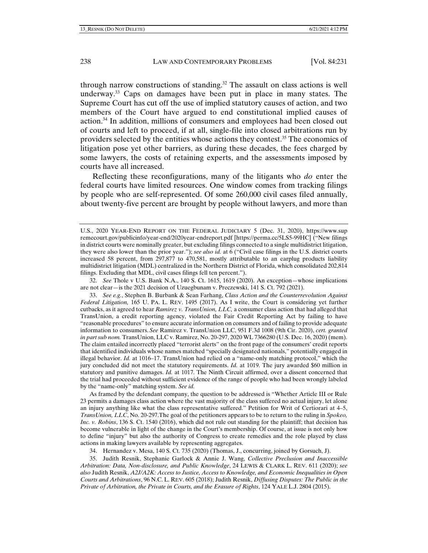through narrow constructions of standing.<sup>32</sup> The assault on class actions is well underway.33 Caps on damages have been put in place in many states. The Supreme Court has cut off the use of implied statutory causes of action, and two members of the Court have argued to end constitutional implied causes of action.34 In addition, millions of consumers and employees had been closed out of courts and left to proceed, if at all, single-file into closed arbitrations run by providers selected by the entities whose actions they contest.35 The economics of litigation pose yet other barriers, as during these decades, the fees charged by some lawyers, the costs of retaining experts, and the assessments imposed by courts have all increased.

Reflecting these reconfigurations, many of the litigants who *do* enter the federal courts have limited resources. One window comes from tracking filings by people who are self-represented. Of some 260,000 civil cases filed annually, about twenty-five percent are brought by people without lawyers, and more than

 32. *See* Thole v U.S. Bank N.A., 140 S. Ct. 1615, 1619 (2020). An exception—whose implications are not clear—is the 2021 decision of Uzuegbunam v. Preczewski, 141 S. Ct. 792 (2021).

As framed by the defendant company, the question to be addressed is "Whether Article III or Rule 23 permits a damages class action where the vast majority of the class suffered no actual injury, let alone an injury anything like what the class representative suffered." Petition for Writ of Certiorari at 4–5, *TransUnion, LLC*, No. 20-297.The goal of the petitioners appears to be to return to the ruling in *Spokeo, Inc. v. Robins*, 136 S. Ct. 1540 (2016), which did not rule out standing for the plaintiff; that decision has become vulnerable in light of the change in the Court's membership. Of course, at issue is not only how to define "injury" but also the authority of Congress to create remedies and the role played by class actions in making lawyers available by representing aggregates.

34. Hernandez v. Mesa, 140 S. Ct. 735 (2020) (Thomas, J., concurring, joined by Gorsuch, J).

 35. Judith Resnik, Stephanie Garlock & Annie J. Wang, *Collective Preclusion and Inaccessible Arbitration: Data, Non-disclosure, and Public Knowledge*, 24 LEWIS & CLARK L. REV. 611 (2020); *see also* Judith Resnik, *A2J/A2K: Access to Justice, Access to Knowledge, and Economic Inequalities in Open Courts and Arbitrations*, 96 N.C. L. REV. 605 (2018); Judith Resnik, *Diffusing Disputes: The Public in the Private of Arbitration, the Private in Courts, and the Erasure of Rights*, 124 YALE L.J. 2804 (2015).

U.S., 2020 YEAR-END REPORT ON THE FEDERAL JUDICIARY 5 (Dec. 31, 2020), https://www.sup remecourt.gov/publicinfo/year-end/2020year-endreport.pdf [https://perma.cc/5LS5-99HC] ("New filings in district courts were nominally greater, but excluding filings connected to a single multidistrict litigation, they were also lower than the prior year."); *see also id.* at 6 ("Civil case filings in the U.S. district courts increased 58 percent, from 297,877 to 470,581, mostly attributable to an earplug products liability multidistrict litigation (MDL) centralized in the Northern District of Florida, which consolidated 202,814 filings. Excluding that MDL, civil cases filings fell ten percent.").

 <sup>33.</sup> *See e.g.*, Stephen B. Burbank & Sean Farhang, *Class Action and the Counterrevolution Against Federal Litigation,* 165 U. PA. L. REV. 1495 (2017). As I write, the Court is considering yet further cutbacks, as it agreed to hear *Ramirez v. TransUnion, LLC,* a consumer class action that had alleged that TransUnion, a credit reporting agency, violated the Fair Credit Reporting Act by failing to have "reasonable procedures" to ensure accurate information on consumers and of failing to provide adequate information to consumers. *See* Ramirez v. TransUnion LLC, 951 F.3d 1008 (9th Cir. 2020), *cert. granted in part sub nom.* TransUnion, LLC v. Ramirez, No. 20-297, 2020 WL 7366280 (U.S. Dec. 16, 2020) (mem). The claim entailed incorrectly placed "terrorist alerts" on the front page of the consumers' credit reports that identified individuals whose names matched "specially designated nationals," potentially engaged in illegal behavior. *Id.* at 1016–17. TransUnion had relied on a "name-only matching protocol," which the jury concluded did not meet the statutory requirements. *Id.* at 1019. The jury awarded \$60 million in statutory and punitive damages. *Id.* at 1017. The Ninth Circuit affirmed, over a dissent concerned that the trial had proceeded without sufficient evidence of the range of people who had been wrongly labeled by the "name-only" matching system. *See id.*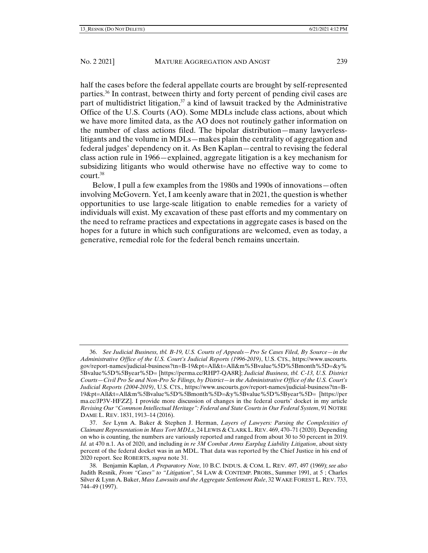half the cases before the federal appellate courts are brought by self-represented parties.36 In contrast, between thirty and forty percent of pending civil cases are part of multidistrict litigation, $37$  a kind of lawsuit tracked by the Administrative Office of the U.S. Courts (AO). Some MDLs include class actions, about which we have more limited data, as the AO does not routinely gather information on the number of class actions filed. The bipolar distribution—many lawyerlesslitigants and the volume in MDLs—makes plain the centrality of aggregation and federal judges' dependency on it. As Ben Kaplan—central to revising the federal class action rule in 1966—explained, aggregate litigation is a key mechanism for subsidizing litigants who would otherwise have no effective way to come to court.38

Below, I pull a few examples from the 1980s and 1990s of innovations—often involving McGovern. Yet, I am keenly aware that in 2021, the question is whether opportunities to use large-scale litigation to enable remedies for a variety of individuals will exist. My excavation of these past efforts and my commentary on the need to reframe practices and expectations in aggregate cases is based on the hopes for a future in which such configurations are welcomed, even as today, a generative, remedial role for the federal bench remains uncertain.

 <sup>36.</sup> *See Judicial Business, tbl. B-19, U.S. Courts of Appeals—Pro Se Cases Filed, By Source—in the Administrative Office of the U.S. Court's Judicial Reports (1996-2019)*, U.S. CTS., https://www.uscourts. gov/report-names/judicial-business?tn=B-19&pt=All&t=All&m%5Bvalue%5D%5Bmonth%5D=&y% 5Bvalue%5D%5Byear%5D= [https://perma.cc/RHP7-QA8R]; *Judicial Business, tbl. C-13, U.S. District Courts—Civil Pro Se and Non-Pro Se Filings, by District—in the Administrative Office of the U.S. Court's Judicial Reports (2004-2019)*, U.S. CTS., https://www.uscourts.gov/report-names/judicial-business?tn=B-19&pt=All&t=All&m%5Bvalue%5D%5Bmonth%5D=&y%5Bvalue%5D%5Byear%5D= [https://per ma.cc/JP3V-HFZZ]. I provide more discussion of changes in the federal courts' docket in my article *Revising Our "Common Intellectual Heritage": Federal and State Courts in Our Federal System*, 91 NOTRE DAME L. REV. 1831, 1913–14 (2016).

 <sup>37.</sup> *See* Lynn A. Baker & Stephen J. Herman, *Layers of Lawyers: Parsing the Complexities of Claimant Representation in Mass Tort MDLs*, 24 LEWIS & CLARK L. REV. 469, 470–71 (2020). Depending on who is counting, the numbers are variously reported and ranged from about 30 to 50 percent in 2019. *Id.* at 470 n.1. As of 2020, and including *in re 3M Combat Arms Earplug Liability Litigation*, about sixty percent of the federal docket was in an MDL. That data was reported by the Chief Justice in his end of 2020 report. See ROBERTS, *supra* note 31.

 <sup>38.</sup> Benjamin Kaplan, *A Preparatory Note*, 10 B.C. INDUS. & COM. L. REV. 497, 497 (1969); *see also* Judith Resnik, *From "Cases" to "Litigation"*, 54 LAW & CONTEMP. PROBS., Summer 1991, at 5 ; Charles Silver & Lynn A. Baker, *Mass Lawsuits and the Aggregate Settlement Rule*, 32 WAKE FOREST L. REV. 733, 744–49 (1997).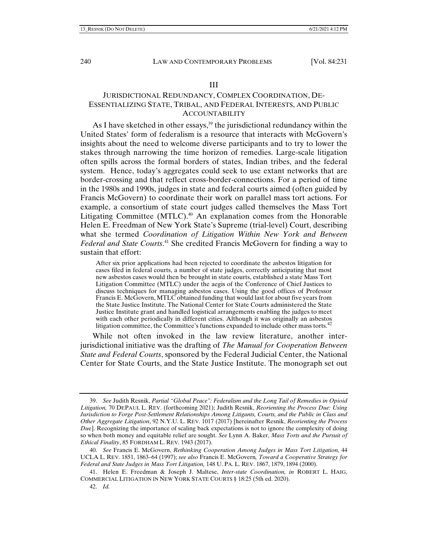### III

# JURISDICTIONAL REDUNDANCY, COMPLEX COORDINATION, DE-ESSENTIALIZING STATE, TRIBAL, AND FEDERAL INTERESTS, AND PUBLIC ACCOUNTABILITY

As I have sketched in other essays,<sup>39</sup> the jurisdictional redundancy within the United States' form of federalism is a resource that interacts with McGovern's insights about the need to welcome diverse participants and to try to lower the stakes through narrowing the time horizon of remedies. Large-scale litigation often spills across the formal borders of states, Indian tribes, and the federal system. Hence, today's aggregates could seek to use extant networks that are border-crossing and that reflect cross-border-connections. For a period of time in the 1980s and 1990s, judges in state and federal courts aimed (often guided by Francis McGovern) to coordinate their work on parallel mass tort actions. For example, a consortium of state court judges called themselves the Mass Tort Litigating Committee (MTLC).<sup>40</sup> An explanation comes from the Honorable Helen E. Freedman of New York State's Supreme (trial-level) Court, describing what she termed *Coordination of Litigation Within New York and Between Federal and State Courts*. 41 She credited Francis McGovern for finding a way to sustain that effort:

After six prior applications had been rejected to coordinate the asbestos litigation for cases filed in federal courts, a number of state judges, correctly anticipating that most new asbestos cases would then be brought in state courts, established a state Mass Tort Litigation Committee (MTLC) under the aegis of the Conference of Chief Justices to discuss techniques for managing asbestos cases. Using the good offices of Professor Francis E. McGovern, MTLC obtained funding that would last for about five years from the State Justice Institute. The National Center for State Courts administered the State Justice Institute grant and handled logistical arrangements enabling the judges to meet with each other periodically in different cities. Although it was originally an asbestos litigation committee, the Committee's functions expanded to include other mass torts.<sup>42</sup>

While not often invoked in the law review literature, another interjurisdictional initiative was the drafting of *The Manual for Cooperation Between State and Federal Courts*, sponsored by the Federal Judicial Center, the National Center for State Courts, and the State Justice Institute. The monograph set out

 <sup>39.</sup> *See* Judith Resnik, *Partial "Global Peace": Federalism and the Long Tail of Remedies in Opioid Litigation,* 70 DEPAUL L. REV. (forthcoming 2021); Judith Resnik, *Reorienting the Process Due: Using Jurisdiction to Forge Post-Settlement Relationships Among Litigants, Courts, and the Public in Class and Other Aggregate Litigation*, 92 N.Y.U. L. REV. 1017 (2017) [hereinafter Resnik, *Reorienting the Process Due*]. Recognizing the importance of scaling back expectations is not to ignore the complexity of doing so when both money and equitable relief are sought. *See* Lynn A. Baker, *Mass Torts and the Pursuit of Ethical Finality*, 85 FORDHAM L. REV. 1943 (2017).

 <sup>40.</sup> *See* Francis E. McGovern, *Rethinking Cooperation Among Judges in Mass Tort Litigation,* 44 UCLA L. REV. 1851, 1863–64 (1997); *see also* Francis E. McGovern*, Toward a Cooperative Strategy for Federal and State Judges in Mass Tort Litigation,* 148 U. PA. L. REV. 1867, 1879, 1894 (2000).

 <sup>41.</sup> Helen E. Freedman & Joseph J. Maltese, *Inter-state Coordination, in* ROBERT L. HAIG, COMMERCIAL LITIGATION IN NEW YORK STATE COURTS § 18:25 (5th ed. 2020).

 <sup>42.</sup> *Id.*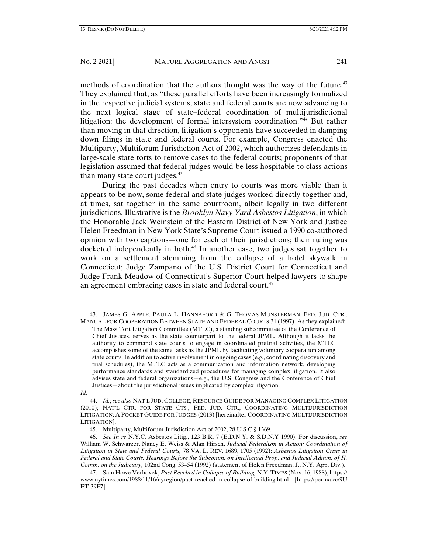methods of coordination that the authors thought was the way of the future.<sup>43</sup> They explained that, as "these parallel efforts have been increasingly formalized in the respective judicial systems, state and federal courts are now advancing to the next logical stage of state–federal coordination of multijurisdictional litigation: the development of formal intersystem coordination."44 But rather than moving in that direction, litigation's opponents have succeeded in damping down filings in state and federal courts. For example, Congress enacted the Multiparty, Multiforum Jurisdiction Act of 2002, which authorizes defendants in large-scale state torts to remove cases to the federal courts; proponents of that legislation assumed that federal judges would be less hospitable to class actions than many state court judges.<sup>45</sup>

 During the past decades when entry to courts was more viable than it appears to be now, some federal and state judges worked directly together and, at times, sat together in the same courtroom, albeit legally in two different jurisdictions. Illustrative is the *Brooklyn Navy Yard Asbestos Litigation*, in which the Honorable Jack Weinstein of the Eastern District of New York and Justice Helen Freedman in New York State's Supreme Court issued a 1990 co-authored opinion with two captions—one for each of their jurisdictions; their ruling was docketed independently in both.<sup>46</sup> In another case, two judges sat together to work on a settlement stemming from the collapse of a hotel skywalk in Connecticut; Judge Zampano of the U.S. District Court for Connecticut and Judge Frank Meadow of Connecticut's Superior Court helped lawyers to shape an agreement embracing cases in state and federal court.<sup>47</sup>

*Id.*

 44. *Id.*; *see also* NAT'L JUD. COLLEGE, RESOURCE GUIDE FOR MANAGING COMPLEX LITIGATION (2010); NAT'L CTR. FOR STATE CTS., FED. JUD. CTR., COORDINATING MULTIJURISDICTION LITIGATION: A POCKET GUIDE FOR JUDGES (2013) [hereinafter COORDINATING MULTIJURISDICTION LITIGATION].

 <sup>43.</sup> JAMES G. APPLE, PAULA L. HANNAFORD & G. THOMAS MUNSTERMAN, FED. JUD. CTR., MANUAL FOR COOPERATION BETWEEN STATE AND FEDERAL COURTS 31 (1997). As they explained: The Mass Tort Litigation Committee (MTLC), a standing subcommittee of the Conference of Chief Justices, serves as the state counterpart to the federal JPML. Although it lacks the authority to command state courts to engage in coordinated pretrial activities, the MTLC accomplishes some of the same tasks as the JPML by facilitating voluntary cooperation among state courts. In addition to active involvement in ongoing cases (e.g., coordinating discovery and trial schedules), the MTLC acts as a communication and information network, developing performance standards and standardized procedures for managing complex litigation. It also advises state and federal organizations—e.g., the U.S. Congress and the Conference of Chief Justices—about the jurisdictional issues implicated by complex litigation.

 <sup>45.</sup> Multiparty, Multiforum Jurisdiction Act of 2002, 28 U.S.C § 1369.

 <sup>46.</sup> *See In re* N.Y.C. Asbestos Litig., 123 B.R. 7 (E.D.N.Y. & S.D.N.Y 1990). For discussion, *see* William W. Schwarzer, Nancy E. Weiss & Alan Hirsch, *Judicial Federalism in Action: Coordination of Litigation in State and Federal Courts,* 78 VA. L. REV. 1689, 1705 (1992); *Asbestos Litigation Crisis in Federal and State Courts: Hearings Before the Subcomm. on Intellectual Prop. and Judicial Admin. of H. Comm. on the Judiciary,* 102nd Cong. 53–54 (1992) (statement of Helen Freedman, J., N.Y. App. Div.).

 <sup>47.</sup> Sam Howe Verhovek, *Pact Reached in Collapse of Building,* N.Y. TIMES (Nov. 16, 1988), https:// www.nytimes.com/1988/11/16/nyregion/pact-reached-in-collapse-of-building.html [https://perma.cc/9U ET-39F7].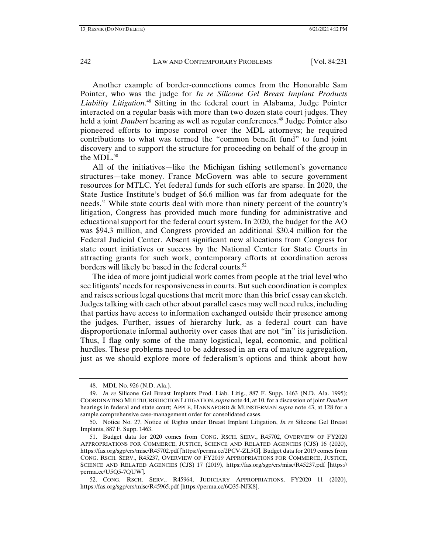Another example of border-connections comes from the Honorable Sam Pointer, who was the judge for *In re Silicone Gel Breast Implant Products Liability Litigation*. 48 Sitting in the federal court in Alabama, Judge Pointer interacted on a regular basis with more than two dozen state court judges. They held a joint *Daubert* hearing as well as regular conferences.49 Judge Pointer also pioneered efforts to impose control over the MDL attorneys; he required contributions to what was termed the "common benefit fund" to fund joint discovery and to support the structure for proceeding on behalf of the group in the MDL.<sup>50</sup>

All of the initiatives—like the Michigan fishing settlement's governance structures—take money. France McGovern was able to secure government resources for MTLC. Yet federal funds for such efforts are sparse. In 2020, the State Justice Institute's budget of \$6.6 million was far from adequate for the needs.51 While state courts deal with more than ninety percent of the country's litigation, Congress has provided much more funding for administrative and educational support for the federal court system. In 2020, the budget for the AO was \$94.3 million, and Congress provided an additional \$30.4 million for the Federal Judicial Center. Absent significant new allocations from Congress for state court initiatives or success by the National Center for State Courts in attracting grants for such work, contemporary efforts at coordination across borders will likely be based in the federal courts.<sup>52</sup>

The idea of more joint judicial work comes from people at the trial level who see litigants' needs for responsiveness in courts. But such coordination is complex and raises serious legal questions that merit more than this brief essay can sketch. Judges talking with each other about parallel cases may well need rules, including that parties have access to information exchanged outside their presence among the judges. Further, issues of hierarchy lurk, as a federal court can have disproportionate informal authority over cases that are not "in" its jurisdiction. Thus, I flag only some of the many logistical, legal, economic, and political hurdles. These problems need to be addressed in an era of mature aggregation, just as we should explore more of federalism's options and think about how

 <sup>48.</sup> MDL No. 926 (N.D. Ala.).

 <sup>49.</sup> *In re* Silicone Gel Breast Implants Prod. Liab. Litig., 887 F. Supp. 1463 (N.D. Ala. 1995); COORDINATING MULTIJURISDICTION LITIGATION, *supra* note 44, at 10, for a discussion of joint *Daubert* hearings in federal and state court; APPLE, HANNAFORD & MUNSTERMAN *supra* note 43, at 128 for a sample comprehensive case-management order for consolidated cases.

 <sup>50.</sup> Notice No. 27, Notice of Rights under Breast Implant Litigation, *In re* Silicone Gel Breast Implants, 887 F. Supp. 1463.

 <sup>51.</sup> Budget data for 2020 comes from CONG. RSCH. SERV., R45702, OVERVIEW OF FY2020 APPROPRIATIONS FOR COMMERCE, JUSTICE, SCIENCE AND RELATED AGENCIES (CJS) 16 (2020), https://fas.org/sgp/crs/misc/R45702.pdf [https://perma.cc/2PCV-ZL5G]. Budget data for 2019 comes from CONG. RSCH. SERV., R45237, OVERVIEW OF FY2019 APPROPRIATIONS FOR COMMERCE, JUSTICE, SCIENCE AND RELATED AGENCIES (CJS) 17 (2019), https://fas.org/sgp/crs/misc/R45237.pdf [https:// perma.cc/U5Q5-7QUW].

 <sup>52.</sup> CONG. RSCH. SERV., R45964, JUDICIARY APPROPRIATIONS, FY2020 11 (2020), https://fas.org/sgp/crs/misc/R45965.pdf [https://perma.cc/6Q35-NJK8].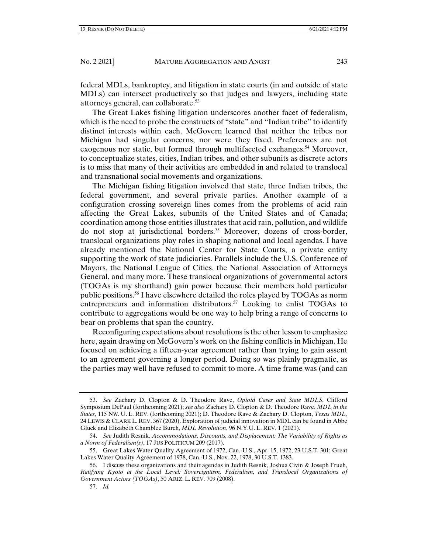federal MDLs, bankruptcy, and litigation in state courts (in and outside of state MDLs) can intersect productively so that judges and lawyers, including state attorneys general, can collaborate.53

The Great Lakes fishing litigation underscores another facet of federalism, which is the need to probe the constructs of "state" and "Indian tribe" to identify distinct interests within each. McGovern learned that neither the tribes nor Michigan had singular concerns, nor were they fixed. Preferences are not exogenous nor static, but formed through multifaceted exchanges.<sup>54</sup> Moreover, to conceptualize states, cities, Indian tribes, and other subunits as discrete actors is to miss that many of their activities are embedded in and related to translocal and transnational social movements and organizations.

The Michigan fishing litigation involved that state, three Indian tribes, the federal government, and several private parties. Another example of a configuration crossing sovereign lines comes from the problems of acid rain affecting the Great Lakes, subunits of the United States and of Canada; coordination among those entities illustrates that acid rain, pollution, and wildlife do not stop at jurisdictional borders.<sup>55</sup> Moreover, dozens of cross-border, translocal organizations play roles in shaping national and local agendas. I have already mentioned the National Center for State Courts, a private entity supporting the work of state judiciaries. Parallels include the U.S. Conference of Mayors, the National League of Cities, the National Association of Attorneys General, and many more. These translocal organizations of governmental actors (TOGAs is my shorthand) gain power because their members hold particular public positions.<sup>56</sup> I have elsewhere detailed the roles played by TOGAs as norm entrepreneurs and information distributors.<sup>57</sup> Looking to enlist TOGAs to contribute to aggregations would be one way to help bring a range of concerns to bear on problems that span the country.

Reconfiguring expectations about resolutions is the other lesson to emphasize here, again drawing on McGovern's work on the fishing conflicts in Michigan. He focused on achieving a fifteen-year agreement rather than trying to gain assent to an agreement governing a longer period. Doing so was plainly pragmatic, as the parties may well have refused to commit to more. A time frame was (and can

 <sup>53.</sup> *See* Zachary D. Clopton & D. Theodore Rave, *Opioid Cases and State MDLS*, Clifford Symposium DePaul (forthcoming 2021); *see also* Zachary D. Clopton & D. Theodore Rave, *MDL in the States,* 115 NW. U. L. REV. (forthcoming 2021); D. Theodore Rave & Zachary D. Clopton, *Texas MDL,*  24 LEWIS & CLARK L. REV. 367 (2020). Exploration of judicial innovation in MDL can be found in Abbe Gluck and Elizabeth Chamblee Burch, *MDL Revolution*, 96 N.Y.U. L. REV. 1 (2021).

 <sup>54.</sup> *See* Judith Resnik, *Accommodations, Discounts, and Displacement: The Variability of Rights as a Norm of Federalism(s)*, 17 JUS POLITICUM 209 (2017).

 <sup>55.</sup> Great Lakes Water Quality Agreement of 1972, Can.-U.S., Apr. 15, 1972, 23 U.S.T. 301; Great Lakes Water Quality Agreement of 1978, Can.-U.S., Nov. 22, 1978, 30 U.S.T. 1383.

 <sup>56.</sup> I discuss these organizations and their agendas in Judith Resnik, Joshua Civin & Joseph Frueh, *Ratifying Kyoto at the Local Level: Sovereigntism, Federalism, and Translocal Organizations of Government Actors (TOGAs)*, 50 ARIZ. L. REV. 709 (2008).

 <sup>57.</sup> *Id.*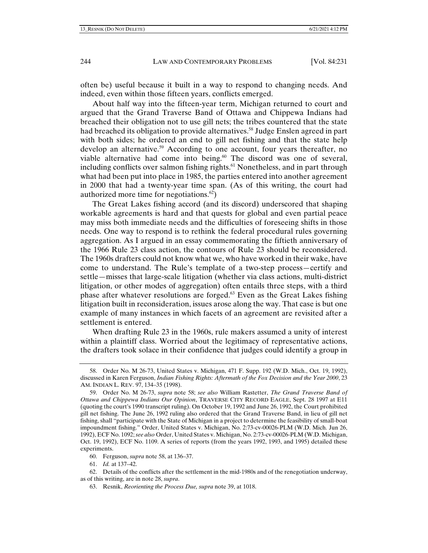often be) useful because it built in a way to respond to changing needs. And indeed, even within those fifteen years, conflicts emerged.

About half way into the fifteen-year term, Michigan returned to court and argued that the Grand Traverse Band of Ottawa and Chippewa Indians had breached their obligation not to use gill nets; the tribes countered that the state had breached its obligation to provide alternatives.<sup>58</sup> Judge Enslen agreed in part with both sides; he ordered an end to gill net fishing and that the state help develop an alternative.<sup>59</sup> According to one account, four years thereafter, no viable alternative had come into being. $60$  The discord was one of several, including conflicts over salmon fishing rights.<sup> $61$ </sup> Nonetheless, and in part through what had been put into place in 1985, the parties entered into another agreement in 2000 that had a twenty-year time span. (As of this writing, the court had authorized more time for negotiations. $62$ )

The Great Lakes fishing accord (and its discord) underscored that shaping workable agreements is hard and that quests for global and even partial peace may miss both immediate needs and the difficulties of foreseeing shifts in those needs. One way to respond is to rethink the federal procedural rules governing aggregation. As I argued in an essay commemorating the fiftieth anniversary of the 1966 Rule 23 class action, the contours of Rule 23 should be reconsidered. The 1960s drafters could not know what we, who have worked in their wake, have come to understand. The Rule's template of a two-step process—certify and settle—misses that large-scale litigation (whether via class actions, multi-district litigation, or other modes of aggregation) often entails three steps, with a third phase after whatever resolutions are forged. $63$  Even as the Great Lakes fishing litigation built in reconsideration, issues arose along the way. That case is but one example of many instances in which facets of an agreement are revisited after a settlement is entered.

When drafting Rule 23 in the 1960s, rule makers assumed a unity of interest within a plaintiff class. Worried about the legitimacy of representative actions, the drafters took solace in their confidence that judges could identify a group in

61. *Id.* at 137–42.

 62. Details of the conflicts after the settlement in the mid-1980s and of the renegotiation underway, as of this writing, are in note 28, *supra*.

 <sup>58.</sup> Order No. M 26-73, United States v. Michigan, 471 F. Supp. 192 (W.D. Mich., Oct. 19, 1992), discussed in Karen Ferguson, *Indian Fishing Rights: Aftermath of the Fox Decision and the Year 2000*, 23 AM. INDIAN L. REV. 97, 134–35 (1998).

 <sup>59.</sup> Order No. M 26-73, *supra* note 58; *see also* William Rastetter, *The Grand Traverse Band of Ottawa and Chippewa Indians Our Opinion*, TRAVERSE CITY RECORD EAGLE, Sept. 28 1997 at E11 (quoting the court's 1990 transcript ruling). On October 19, 1992 and June 26, 1992, the Court prohibited gill net fishing. The June 26, 1992 ruling also ordered that the Grand Traverse Band, in lieu of gill net fishing, shall "participate with the State of Michigan in a project to determine the feasibility of small-boat impoundment fishing." Order, United States v. Michigan, No. 2:73-cv-00026-PLM (W.D. Mich. Jun 26, 1992), ECF No. 1092; *see also* Order, United States v. Michigan, No. 2:73-cv-00026-PLM (W.D. Michigan, Oct. 19, 1992), ECF No. 1109. A series of reports (from the years 1992, 1993, and 1995) detailed these experiments.

 <sup>60.</sup> Ferguson, *supra* note 58, at 136–37.

 <sup>63.</sup> Resnik, *Reorienting the Process Due, supra* note 39, at 1018.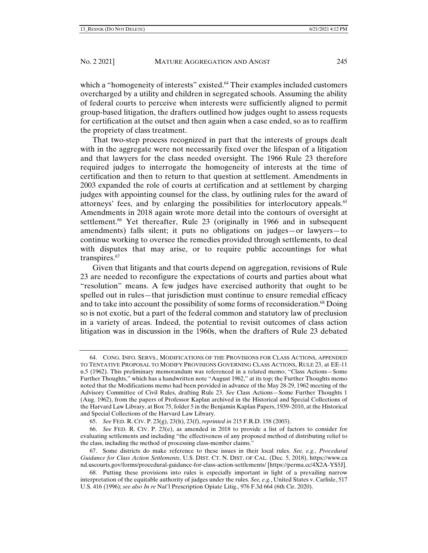which a "homogeneity of interests" existed.<sup>64</sup> Their examples included customers overcharged by a utility and children in segregated schools. Assuming the ability of federal courts to perceive when interests were sufficiently aligned to permit

group-based litigation, the drafters outlined how judges ought to assess requests for certification at the outset and then again when a case ended, so as to reaffirm the propriety of class treatment.

That two-step process recognized in part that the interests of groups dealt with in the aggregate were not necessarily fixed over the lifespan of a litigation and that lawyers for the class needed oversight. The 1966 Rule 23 therefore required judges to interrogate the homogeneity of interests at the time of certification and then to return to that question at settlement. Amendments in 2003 expanded the role of courts at certification and at settlement by charging judges with appointing counsel for the class, by outlining rules for the award of attorneys' fees, and by enlarging the possibilities for interlocutory appeals.<sup>65</sup> Amendments in 2018 again wrote more detail into the contours of oversight at settlement.<sup>66</sup> Yet thereafter, Rule 23 (originally in 1966 and in subsequent amendments) falls silent; it puts no obligations on judges—or lawyers—to continue working to oversee the remedies provided through settlements, to deal with disputes that may arise, or to require public accountings for what transpires.<sup>67</sup>

Given that litigants and that courts depend on aggregation, revisions of Rule 23 are needed to reconfigure the expectations of courts and parties about what "resolution" means. A few judges have exercised authority that ought to be spelled out in rules—that jurisdiction must continue to ensure remedial efficacy and to take into account the possibility of some forms of reconsideration.<sup>68</sup> Doing so is not exotic, but a part of the federal common and statutory law of preclusion in a variety of areas. Indeed, the potential to revisit outcomes of class action litigation was in discussion in the 1960s, when the drafters of Rule 23 debated

65. *See* FED. R. CIV. P. 23(g), 23(h), 23(f), *reprinted in* 215 F.R.D. 158 (2003).

 66. *See* FED. R. CIV. P. 23(e), as amended in 2018 to provide a list of factors to consider for evaluating settlements and including "the effectiveness of any proposed method of distributing relief to the class, including the method of processing class-member claims."

 67. Some districts do make reference to these issues in their local rules. *See, e.g.*, *Procedural Guidance for Class Action Settlements*, U.S. DIST. CT. N. DIST. OF CAL. (Dec. 5, 2018), https://www.ca nd.uscourts.gov/forms/procedural-guidance-for-class-action-settlements/ [https://perma.cc/4X2A-YS5J].

 68. Putting these provisions into rules is especially important in light of a prevailing narrow interpretation of the equitable authority of judges under the rules. *See, e.g.*, United States v. Carlisle, 517 U.S. 416 (1996); *see also In re* Nat'l Prescription Opiate Litig., 976 F.3d 664 (6th Cir. 2020).

 <sup>64.</sup> CONG. INFO. SERVS., MODIFICATIONS OF THE PROVISIONS FOR CLASS ACTIONS, APPENDED TO TENTATIVE PROPOSAL TO MODIFY PROVISIONS GOVERNING CLASS ACTIONS, RULE 23, at EE-11 n.5 (1962). This preliminary memorandum was referenced in a related memo, "Class Actions—Some Further Thoughts," which has a handwritten note "August 1962," at its top; the Further Thoughts memo noted that the Modifications memo had been provided in advance of the May 28-29, 1962 meeting of the Advisory Committee of Civil Rules, drafting Rule 23. *See* Class Actions—Some Further Thoughts 1 (Aug. 1962), from the papers of Professor Kaplan archived in the Historical and Special Collections of the Harvard Law Library, at Box 75, folder 5 in the Benjamin Kaplan Papers, 1939–2010, at the Historical and Special Collections of the Harvard Law Library.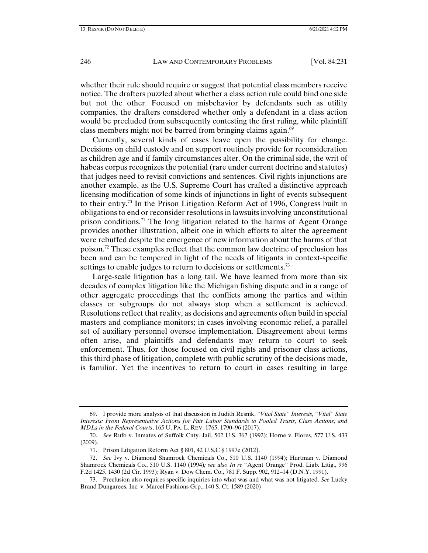whether their rule should require or suggest that potential class members receive notice. The drafters puzzled about whether a class action rule could bind one side but not the other. Focused on misbehavior by defendants such as utility companies, the drafters considered whether only a defendant in a class action would be precluded from subsequently contesting the first ruling, while plaintiff class members might not be barred from bringing claims again. $69$ 

Currently, several kinds of cases leave open the possibility for change. Decisions on child custody and on support routinely provide for reconsideration as children age and if family circumstances alter. On the criminal side, the writ of habeas corpus recognizes the potential (rare under current doctrine and statutes) that judges need to revisit convictions and sentences. Civil rights injunctions are another example, as the U.S. Supreme Court has crafted a distinctive approach licensing modification of some kinds of injunctions in light of events subsequent to their entry.<sup>70</sup> In the Prison Litigation Reform Act of 1996, Congress built in obligations to end or reconsider resolutions in lawsuits involving unconstitutional prison conditions.<sup>71</sup> The long litigation related to the harms of Agent Orange provides another illustration, albeit one in which efforts to alter the agreement were rebuffed despite the emergence of new information about the harms of that poison.72 These examples reflect that the common law doctrine of preclusion has been and can be tempered in light of the needs of litigants in context-specific settings to enable judges to return to decisions or settlements.<sup>73</sup>

Large-scale litigation has a long tail. We have learned from more than six decades of complex litigation like the Michigan fishing dispute and in a range of other aggregate proceedings that the conflicts among the parties and within classes or subgroups do not always stop when a settlement is achieved. Resolutions reflect that reality, as decisions and agreements often build in special masters and compliance monitors; in cases involving economic relief, a parallel set of auxiliary personnel oversee implementation. Disagreement about terms often arise, and plaintiffs and defendants may return to court to seek enforcement. Thus, for those focused on civil rights and prisoner class actions, this third phase of litigation, complete with public scrutiny of the decisions made, is familiar. Yet the incentives to return to court in cases resulting in large

 <sup>69.</sup> I provide more analysis of that discussion in Judith Resnik, "*Vital State" Interests,* "*Vital" State Interests: From Representative Actions for Fair Labor Standards to Pooled Trusts, Class Actions, and MDLs in the Federal Courts*, 165 U. PA. L. REV. 1765, 1790–96 (2017).

 <sup>70.</sup> *See* Rufo v. Inmates of Suffolk Cnty. Jail, 502 U.S. 367 (1992); Horne v. Flores, 577 U.S. 433 (2009).

 <sup>71.</sup> Prison Litigation Reform Act § 801, 42 U.S.C § 1997e (2012).

 <sup>72.</sup> *See* Ivy v. Diamond Shamrock Chemicals Co., 510 U.S. 1140 (1994); Hartman v. Diamond Shamrock Chemicals Co., 510 U.S. 1140 (1994)*; see also In re* "Agent Orange" Prod. Liab. Litig., 996 F.2d 1425, 1430 (2d Cir. 1993); Ryan v. Dow Chem. Co., 781 F. Supp. 902, 912–14 (D.N.Y. 1991).

 <sup>73.</sup> Preclusion also requires specific inquiries into what was and what was not litigated. *See* Lucky Brand Dungarees, Inc. v. Marcel Fashions Grp., 140 S. Ct. 1589 (2020)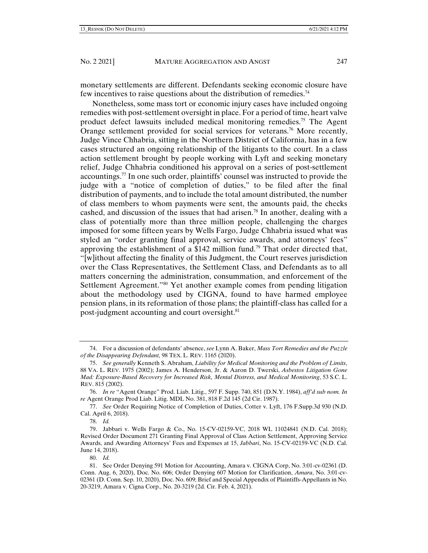monetary settlements are different. Defendants seeking economic closure have few incentives to raise questions about the distribution of remedies.74

Nonetheless, some mass tort or economic injury cases have included ongoing remedies with post-settlement oversight in place. For a period of time, heart valve product defect lawsuits included medical monitoring remedies.75 The Agent Orange settlement provided for social services for veterans.76 More recently, Judge Vince Chhabria, sitting in the Northern District of California, has in a few cases structured an ongoing relationship of the litigants to the court. In a class action settlement brought by people working with Lyft and seeking monetary relief, Judge Chhabria conditioned his approval on a series of post-settlement accountings.<sup>77</sup> In one such order, plaintiffs' counsel was instructed to provide the judge with a "notice of completion of duties," to be filed after the final distribution of payments, and to include the total amount distributed, the number of class members to whom payments were sent, the amounts paid, the checks cashed, and discussion of the issues that had arisen.<sup>78</sup> In another, dealing with a class of potentially more than three million people, challenging the charges imposed for some fifteen years by Wells Fargo, Judge Chhabria issued what was styled an "order granting final approval, service awards, and attorneys' fees" approving the establishment of a \$142 million fund.<sup>79</sup> That order directed that, "[w]ithout affecting the finality of this Judgment, the Court reserves jurisdiction over the Class Representatives, the Settlement Class, and Defendants as to all matters concerning the administration, consummation, and enforcement of the Settlement Agreement."80 Yet another example comes from pending litigation about the methodology used by CIGNA, found to have harmed employee pension plans, in its reformation of those plans; the plaintiff-class has called for a post-judgment accounting and court oversight.<sup>81</sup>

 <sup>74.</sup> For a discussion of defendants' absence, *see* Lynn A. Baker, *Mass Tort Remedies and the Puzzle of the Disappearing Defendant*, 98 TEX. L. REV. 1165 (2020).

 <sup>75.</sup> *See generally* Kenneth S. Abraham, *Liability for Medical Monitoring and the Problem of Limits*, 88 VA. L. REV. 1975 (2002); James A. Henderson, Jr. & Aaron D. Twerski, *Asbestos Litigation Gone Mad: Exposure-Based Recovery for Increased Risk, Mental Distress, and Medical Monitoring*, 53 S.C. L. REV. 815 (2002).

 <sup>76.</sup> *In re* "Agent Orange" Prod. Liab. Litig., 597 F. Supp. 740, 851 (D.N.Y. 1984), *aff'd sub nom. In re* Agent Orange Prod Liab. Litig. MDL No. 381, 818 F.2d 145 (2d Cir. 1987).

 <sup>77.</sup> *See* Order Requiring Notice of Completion of Duties, Cotter v. Lyft, 176 F.Supp.3d 930 (N.D. Cal. April 6, 2018).

 <sup>78.</sup> *Id.*

 <sup>79.</sup> Jabbari v. Wells Fargo & Co., No. 15-CV-02159-VC, 2018 WL 11024841 (N.D. Cal. 2018); Revised Order Document 271 Granting Final Approval of Class Action Settlement, Approving Service Awards, and Awarding Attorneys' Fees and Expenses at 15, *Jabbari*, No. 15-CV-02159-VC (N.D. Cal. June 14, 2018).

 <sup>80.</sup> *Id.*

 <sup>81.</sup> See Order Denying 591 Motion for Accounting, Amara v. CIGNA Corp, No. 3:01-cv-02361 (D. Conn. Aug. 6, 2020), Doc. No. 606; Order Denying 607 Motion for Clarification, *Amara*, No. 3:01-cv-02361 (D. Conn. Sep. 10, 2020), Doc. No. 609; Brief and Special Appendix of Plaintiffs-Appellants in No. 20-3219, Amara v. Cigna Corp., No. 20-3219 (2d. Cir. Feb. 4, 2021).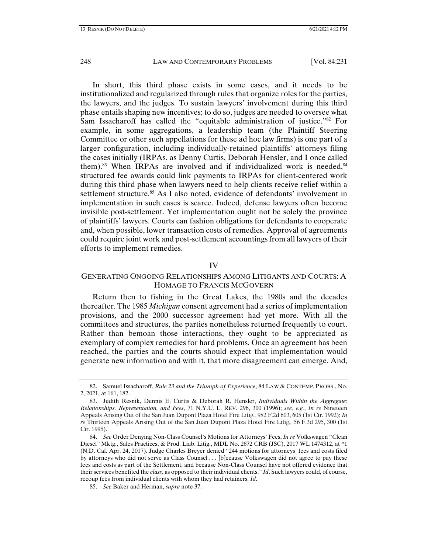In short, this third phase exists in some cases, and it needs to be institutionalized and regularized through rules that organize roles for the parties, the lawyers, and the judges. To sustain lawyers' involvement during this third phase entails shaping new incentives; to do so, judges are needed to oversee what Sam Issacharoff has called the "equitable administration of justice."<sup>82</sup> For example, in some aggregations, a leadership team (the Plaintiff Steering Committee or other such appellations for these ad hoc law firms) is one part of a larger configuration, including individually-retained plaintiffs' attorneys filing the cases initially (IRPAs, as Denny Curtis, Deborah Hensler, and I once called them).<sup>83</sup> When IRPAs are involved and if individualized work is needed,  $84$ structured fee awards could link payments to IRPAs for client-centered work during this third phase when lawyers need to help clients receive relief within a settlement structure.<sup>85</sup> As I also noted, evidence of defendants' involvement in implementation in such cases is scarce. Indeed, defense lawyers often become invisible post-settlement. Yet implementation ought not be solely the province of plaintiffs' lawyers. Courts can fashion obligations for defendants to cooperate and, when possible, lower transaction costs of remedies. Approval of agreements could require joint work and post-settlement accountings from all lawyers of their efforts to implement remedies.

#### IV

# GENERATING ONGOING RELATIONSHIPS AMONG LITIGANTS AND COURTS: A HOMAGE TO FRANCIS MCGOVERN

Return then to fishing in the Great Lakes, the 1980s and the decades thereafter. The 1985 *Michigan* consent agreement had a series of implementation provisions, and the 2000 successor agreement had yet more. With all the committees and structures, the parties nonetheless returned frequently to court. Rather than bemoan those interactions, they ought to be appreciated as exemplary of complex remedies for hard problems. Once an agreement has been reached, the parties and the courts should expect that implementation would generate new information and with it, that more disagreement can emerge. And,

 <sup>82.</sup> Samuel Issacharoff, *Rule 23 and the Triumph of Experience*, 84 LAW & CONTEMP. PROBS., No. 2, 2021, at 161, 182.

 <sup>83.</sup> Judith Resnik, Dennis E. Curtis & Deborah R. Hensler, *Individuals Within the Aggregate: Relationships, Representation, and Fees*, 71 N.Y.U. L. REV. 296, 300 (1996); *see, e.g.*, *In re* Nineteen Appeals Arising Out of the San Juan Dupont Plaza Hotel Fire Litig.*,* 982 F.2d 603, 605 (1st Cir. 1992); *In re* Thirteen Appeals Arising Out of the San Juan Dupont Plaza Hotel Fire Litig.*,* 56 F.3d 295, 300 (1st Cir. 1995).

 <sup>84.</sup> *See* Order Denying Non-Class Counsel's Motions for Attorneys' Fees, *In re* Volkswagen "Clean Diesel" Mktg., Sales Practices, & Prod. Liab. Litig., MDL No. 2672 CRB (JSC), 2017 WL 1474312, at \*1 (N.D. Cal. Apr. 24, 2017). Judge Charles Breyer denied "244 motions for attorneys' fees and costs filed by attorneys who did not serve as Class Counsel . . . [b]ecause Volkswagen did not agree to pay these fees and costs as part of the Settlement, and because Non-Class Counsel have not offered evidence that their services benefited the *class*, as opposed to their individual clients." *Id*. Such lawyers could, of course, recoup fees from individual clients with whom they had retainers. *Id*.

 <sup>85.</sup> *See* Baker and Herman, *supra* note 37.